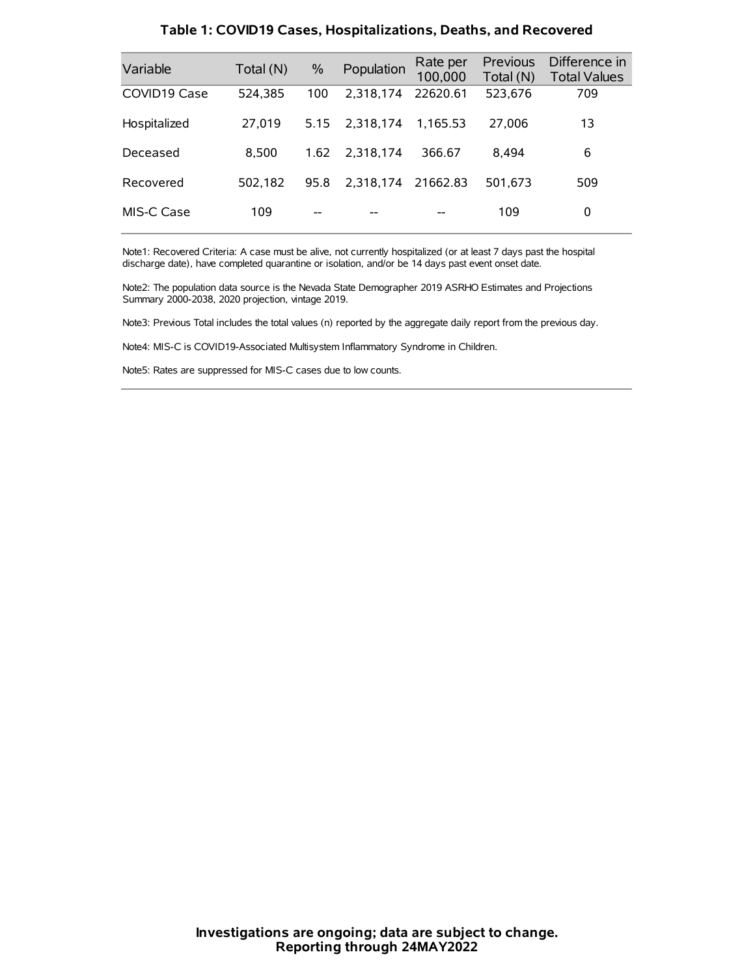| Variable     | Total (N) | $\%$ | Population | Rate per<br>100,000 | Previous<br>Total (N) | Difference in<br><b>Total Values</b> |
|--------------|-----------|------|------------|---------------------|-----------------------|--------------------------------------|
| COVID19 Case | 524.385   | 100  | 2.318.174  | 22620.61            | 523,676               | 709                                  |
| Hospitalized | 27.019    | 5.15 | 2.318.174  | 1.165.53            | 27,006                | 13                                   |
| Deceased     | 8.500     | 1.62 | 2.318.174  | 366.67              | 8.494                 | 6                                    |
| Recovered    | 502.182   | 95.8 | 2.318.174  | 21662.83            | 501.673               | 509                                  |
| MIS-C Case   | 109       | --   |            |                     | 109                   | 0                                    |

#### **Table 1: COVID19 Cases, Hospitalizations, Deaths, and Recovered**

Note1: Recovered Criteria: A case must be alive, not currently hospitalized (or at least 7 days past the hospital discharge date), have completed quarantine or isolation, and/or be 14 days past event onset date.

Note2: The population data source is the Nevada State Demographer 2019 ASRHO Estimates and Projections Summary 2000-2038, 2020 projection, vintage 2019.

Note3: Previous Total includes the total values (n) reported by the aggregate daily report from the previous day.

Note4: MIS-C is COVID19-Associated Multisystem Inflammatory Syndrome in Children.

Note5: Rates are suppressed for MIS-C cases due to low counts.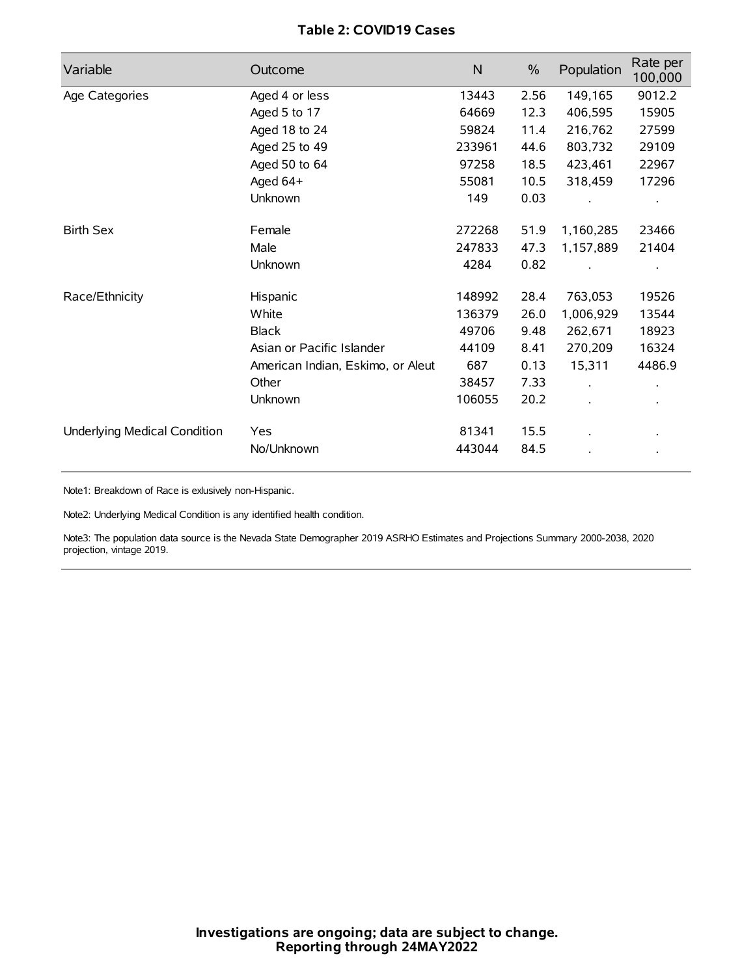# **Table 2: COVID19 Cases**

| Variable                     | Outcome                           | $\mathsf{N}$ | $\%$ | Population           | Rate per<br>100,000 |
|------------------------------|-----------------------------------|--------------|------|----------------------|---------------------|
| Age Categories               | Aged 4 or less                    | 13443        | 2.56 | 149,165              | 9012.2              |
|                              | Aged 5 to 17                      | 64669        | 12.3 | 406,595              | 15905               |
|                              | Aged 18 to 24                     | 59824        | 11.4 | 216,762              | 27599               |
|                              | Aged 25 to 49                     | 233961       | 44.6 | 803,732              | 29109               |
|                              | Aged 50 to 64                     | 97258        | 18.5 | 423,461              | 22967               |
|                              | Aged 64+                          | 55081        | 10.5 | 318,459              | 17296               |
|                              | Unknown                           | 149          | 0.03 |                      |                     |
| <b>Birth Sex</b>             | Female                            | 272268       | 51.9 | 1,160,285            | 23466               |
|                              | Male                              | 247833       | 47.3 | 1,157,889            | 21404               |
|                              | Unknown                           | 4284         | 0.82 |                      |                     |
| Race/Ethnicity               | Hispanic                          | 148992       | 28.4 | 763,053              | 19526               |
|                              | White                             | 136379       | 26.0 | 1,006,929            | 13544               |
|                              | <b>Black</b>                      | 49706        | 9.48 | 262,671              | 18923               |
|                              | Asian or Pacific Islander         | 44109        | 8.41 | 270,209              | 16324               |
|                              | American Indian, Eskimo, or Aleut | 687          | 0.13 | 15,311               | 4486.9              |
|                              | Other                             | 38457        | 7.33 | $\ddot{\phantom{a}}$ |                     |
|                              | Unknown                           | 106055       | 20.2 | ÷.                   |                     |
| Underlying Medical Condition | Yes                               | 81341        | 15.5 |                      |                     |
|                              | No/Unknown                        | 443044       | 84.5 |                      |                     |

Note1: Breakdown of Race is exlusively non-Hispanic.

Note2: Underlying Medical Condition is any identified health condition.

Note3: The population data source is the Nevada State Demographer 2019 ASRHO Estimates and Projections Summary 2000-2038, 2020 projection, vintage 2019.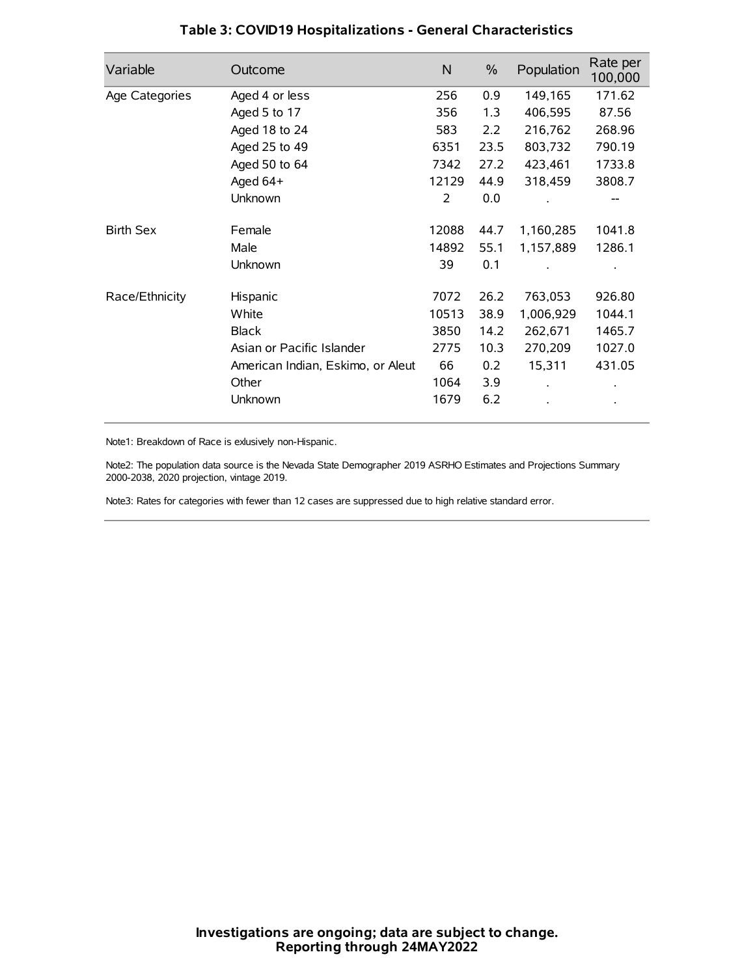| Variable         | Outcome                           | N     | $\%$ | Population | Rate per<br>100,000 |
|------------------|-----------------------------------|-------|------|------------|---------------------|
| Age Categories   | Aged 4 or less                    | 256   | 0.9  | 149,165    | 171.62              |
|                  | Aged 5 to 17                      | 356   | 1.3  | 406,595    | 87.56               |
|                  | Aged 18 to 24                     | 583   | 2.2  | 216,762    | 268.96              |
|                  | Aged 25 to 49                     | 6351  | 23.5 | 803,732    | 790.19              |
|                  | Aged 50 to 64                     | 7342  | 27.2 | 423,461    | 1733.8              |
|                  | Aged 64+                          | 12129 | 44.9 | 318,459    | 3808.7              |
|                  | Unknown                           | 2     | 0.0  |            |                     |
| <b>Birth Sex</b> | Female                            | 12088 | 44.7 | 1,160,285  | 1041.8              |
|                  | Male                              | 14892 | 55.1 | 1,157,889  | 1286.1              |
|                  | Unknown                           | 39    | 0.1  |            |                     |
| Race/Ethnicity   | Hispanic                          | 7072  | 26.2 | 763,053    | 926.80              |
|                  | White                             | 10513 | 38.9 | 1,006,929  | 1044.1              |
|                  | <b>Black</b>                      | 3850  | 14.2 | 262,671    | 1465.7              |
|                  | Asian or Pacific Islander         | 2775  | 10.3 | 270,209    | 1027.0              |
|                  | American Indian, Eskimo, or Aleut | 66    | 0.2  | 15,311     | 431.05              |
|                  | Other                             | 1064  | 3.9  |            |                     |
|                  | Unknown                           | 1679  | 6.2  |            |                     |

# **Table 3: COVID19 Hospitalizations - General Characteristics**

Note1: Breakdown of Race is exlusively non-Hispanic.

Note2: The population data source is the Nevada State Demographer 2019 ASRHO Estimates and Projections Summary 2000-2038, 2020 projection, vintage 2019.

Note3: Rates for categories with fewer than 12 cases are suppressed due to high relative standard error.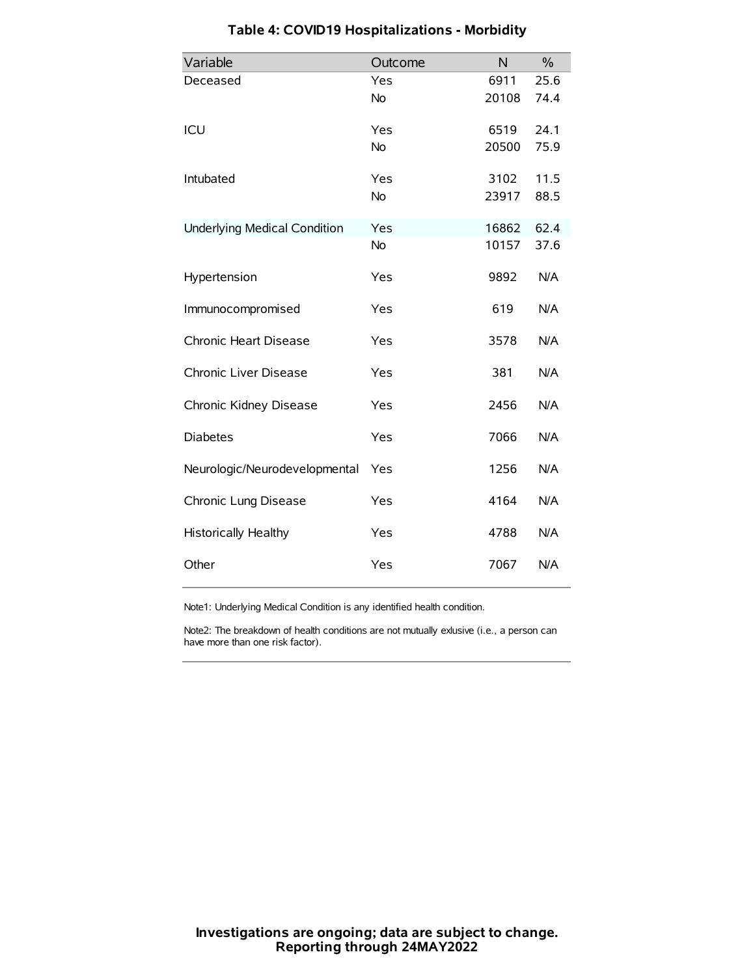| Variable                            | Outcome   | N     | $\%$ |
|-------------------------------------|-----------|-------|------|
| Deceased                            | Yes       | 6911  | 25.6 |
|                                     | <b>No</b> | 20108 | 74.4 |
| ICU                                 | Yes       | 6519  | 24.1 |
|                                     | <b>No</b> | 20500 | 75.9 |
| Intubated                           | Yes       | 3102  | 11.5 |
|                                     | <b>No</b> | 23917 | 88.5 |
| <b>Underlying Medical Condition</b> | Yes       | 16862 | 62.4 |
|                                     | No        | 10157 | 37.6 |
| Hypertension                        | Yes       | 9892  | N/A  |
| Immunocompromised                   | Yes       | 619   | N/A  |
| Chronic Heart Disease               | Yes       | 3578  | N/A  |
| Chronic Liver Disease               | Yes       | 381   | N/A  |
| Chronic Kidney Disease              | Yes       | 2456  | N/A  |
| <b>Diabetes</b>                     | Yes       | 7066  | N/A  |
| Neurologic/Neurodevelopmental       | Yes       | 1256  | N/A  |
| Chronic Lung Disease                | Yes       | 4164  | N/A  |
| <b>Historically Healthy</b>         | Yes       | 4788  | N/A  |
| Other                               | Yes       | 7067  | N/A  |

# **Table 4: COVID19 Hospitalizations - Morbidity**

Note1: Underlying Medical Condition is any identified health condition.

Note2: The breakdown of health conditions are not mutually exlusive (i.e., a person can have more than one risk factor).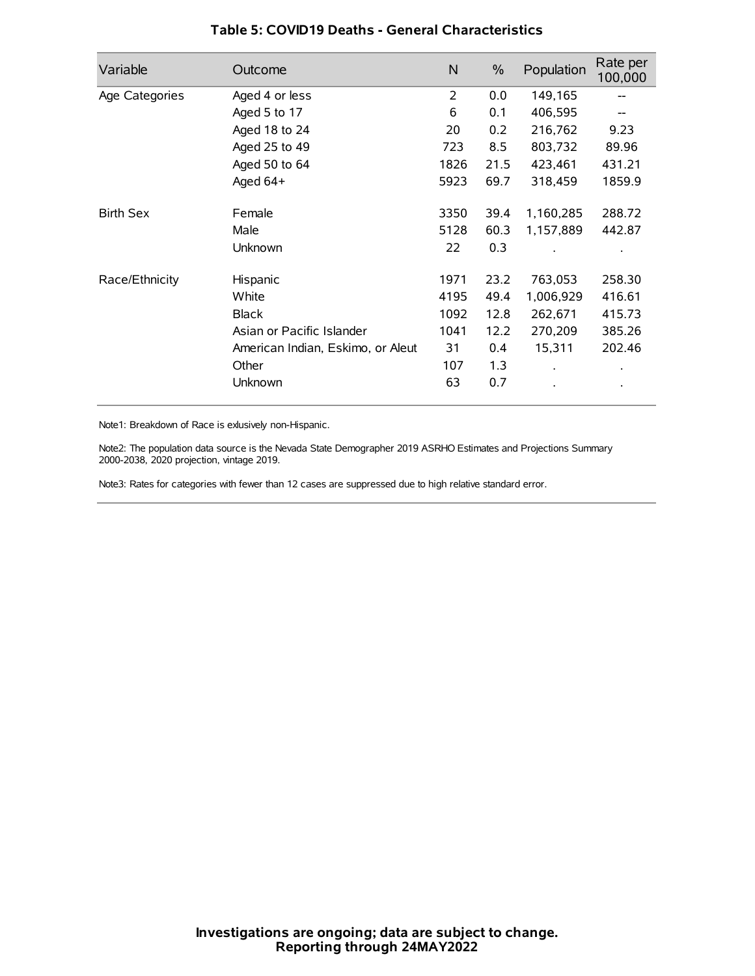| Variable         | Outcome                           | N    | $\frac{0}{0}$ | Population | Rate per<br>100,000 |
|------------------|-----------------------------------|------|---------------|------------|---------------------|
| Age Categories   | Aged 4 or less                    | 2    | 0.0           | 149,165    |                     |
|                  | Aged 5 to 17                      | 6    | 0.1           | 406,595    |                     |
|                  | Aged 18 to 24                     | 20   | 0.2           | 216,762    | 9.23                |
|                  | Aged 25 to 49                     | 723  | 8.5           | 803,732    | 89.96               |
|                  | Aged 50 to 64                     | 1826 | 21.5          | 423,461    | 431.21              |
|                  | Aged 64+                          | 5923 | 69.7          | 318,459    | 1859.9              |
| <b>Birth Sex</b> | Female                            | 3350 | 39.4          | 1,160,285  | 288.72              |
|                  | Male                              | 5128 | 60.3          | 1,157,889  | 442.87              |
|                  | Unknown                           | 22   | 0.3           |            |                     |
| Race/Ethnicity   | Hispanic                          | 1971 | 23.2          | 763,053    | 258.30              |
|                  | White                             | 4195 | 49.4          | 1,006,929  | 416.61              |
|                  | <b>Black</b>                      | 1092 | 12.8          | 262,671    | 415.73              |
|                  | Asian or Pacific Islander         | 1041 | 12.2          | 270,209    | 385.26              |
|                  | American Indian, Eskimo, or Aleut | 31   | 0.4           | 15,311     | 202.46              |
|                  | Other                             | 107  | 1.3           |            |                     |
|                  | Unknown                           | 63   | 0.7           |            |                     |

## **Table 5: COVID19 Deaths - General Characteristics**

Note1: Breakdown of Race is exlusively non-Hispanic.

Note2: The population data source is the Nevada State Demographer 2019 ASRHO Estimates and Projections Summary 2000-2038, 2020 projection, vintage 2019.

Note3: Rates for categories with fewer than 12 cases are suppressed due to high relative standard error.